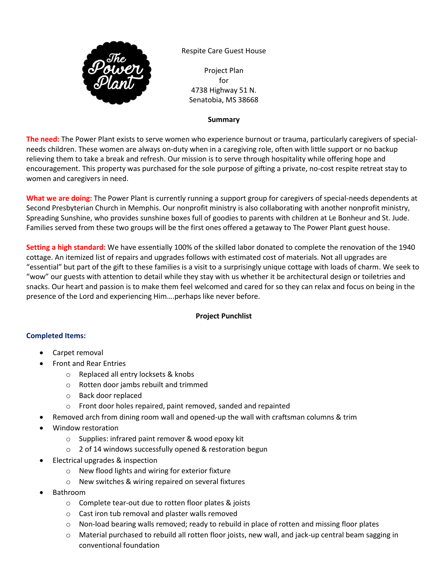

Respite Care Guest House

Project Plan for 4738 Highway 51 N. Senatobia, MS 38668

# **Summary**

**The need:** The Power Plant exists to serve women who experience burnout or trauma, particularly caregivers of specialneeds children. These women are always on-duty when in a caregiving role, often with little support or no backup relieving them to take a break and refresh. Our mission is to serve through hospitality while offering hope and encouragement. This property was purchased for the sole purpose of gifting a private, no-cost respite retreat stay to women and caregivers in need.

**What we are doing:** The Power Plant is currently running a support group for caregivers of special-needs dependents at Second Presbyterian Church in Memphis. Our nonprofit ministry is also collaborating with another nonprofit ministry, Spreading Sunshine, who provides sunshine boxes full of goodies to parents with children at Le Bonheur and St. Jude. Families served from these two groups will be the first ones offered a getaway to The Power Plant guest house.

**Setting a high standard:** We have essentially 100% of the skilled labor donated to complete the renovation of the 1940 cottage. An itemized list of repairs and upgrades follows with estimated cost of materials. Not all upgrades are "essential" but part of the gift to these families is a visit to a surprisingly unique cottage with loads of charm. We seek to "wow" our guests with attention to detail while they stay with us whether it be architectural design or toiletries and snacks. Our heart and passion is to make them feel welcomed and cared for so they can relax and focus on being in the presence of the Lord and experiencing Him….perhaps like never before.

# **Project Punchlist**

# **Completed Items:**

- Carpet removal
- Front and Rear Entries
	- o Replaced all entry locksets & knobs
	- o Rotten door jambs rebuilt and trimmed
	- o Back door replaced
	- o Front door holes repaired, paint removed, sanded and repainted
- Removed arch from dining room wall and opened-up the wall with craftsman columns & trim
- Window restoration
	- o Supplies: infrared paint remover & wood epoxy kit
	- o 2 of 14 windows successfully opened & restoration begun
- Electrical upgrades & inspection
	- o New flood lights and wiring for exterior fixture
	- o New switches & wiring repaired on several fixtures
- Bathroom
	- o Complete tear-out due to rotten floor plates & joists
	- o Cast iron tub removal and plaster walls removed
	- $\circ$  Non-load bearing walls removed; ready to rebuild in place of rotten and missing floor plates
	- o Material purchased to rebuild all rotten floor joists, new wall, and jack-up central beam sagging in conventional foundation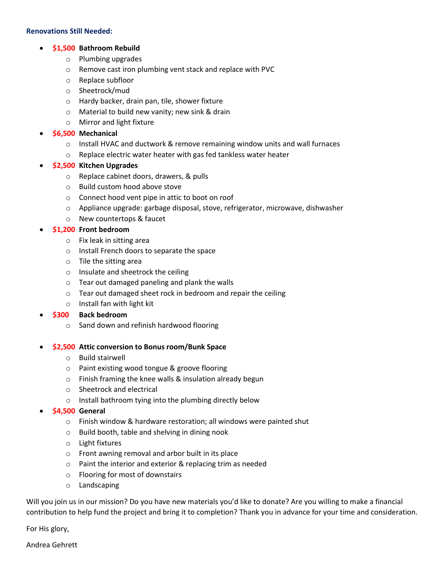#### **Renovations Still Needed:**

# • **\$1,500 Bathroom Rebuild**

- o Plumbing upgrades
- o Remove cast iron plumbing vent stack and replace with PVC
- o Replace subfloor
- o Sheetrock/mud
- o Hardy backer, drain pan, tile, shower fixture
- o Material to build new vanity; new sink & drain
- o Mirror and light fixture

### • **\$6,500 Mechanical**

- o Install HVAC and ductwork & remove remaining window units and wall furnaces
- o Replace electric water heater with gas fed tankless water heater

### • **\$2,500 Kitchen Upgrades**

- o Replace cabinet doors, drawers, & pulls
- o Build custom hood above stove
- o Connect hood vent pipe in attic to boot on roof
- o Appliance upgrade: garbage disposal, stove, refrigerator, microwave, dishwasher
- o New countertops & faucet

### • **\$1,200 Front bedroom**

- o Fix leak in sitting area
- o Install French doors to separate the space
- o Tile the sitting area
- o Insulate and sheetrock the ceiling
- o Tear out damaged paneling and plank the walls
- o Tear out damaged sheet rock in bedroom and repair the ceiling
- o Install fan with light kit

# • **\$300 Back bedroom**

o Sand down and refinish hardwood flooring

#### • **\$2,500 Attic conversion to Bonus room/Bunk Space**

- o Build stairwell
- o Paint existing wood tongue & groove flooring
- o Finish framing the knee walls & insulation already begun
- o Sheetrock and electrical
- o Install bathroom tying into the plumbing directly below
- **\$4,500 General**
	- o Finish window & hardware restoration; all windows were painted shut
	- o Build booth, table and shelving in dining nook
	- o Light fixtures
	- o Front awning removal and arbor built in its place
	- o Paint the interior and exterior & replacing trim as needed
	- o Flooring for most of downstairs
	- o Landscaping

Will you join us in our mission? Do you have new materials you'd like to donate? Are you willing to make a financial contribution to help fund the project and bring it to completion? Thank you in advance for your time and consideration.

For His glory,

Andrea Gehrett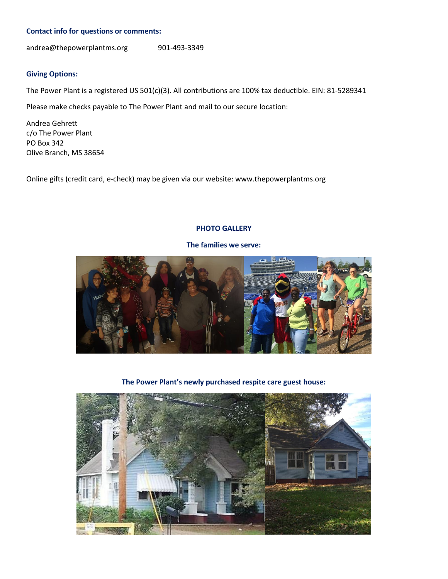#### **Contact info for questions or comments:**

andrea@thepowerplantms.org 901-493-3349

### **Giving Options:**

The Power Plant is a registered US 501(c)(3). All contributions are 100% tax deductible. EIN: 81-5289341

Please make checks payable to The Power Plant and mail to our secure location:

Andrea Gehrett c/o The Power Plant PO Box 342 Olive Branch, MS 38654

Online gifts (credit card, e-check) may be given via our website: www.thepowerplantms.org

### **PHOTO GALLERY**



**The families we serve:**

**The Power Plant's newly purchased respite care guest house:**